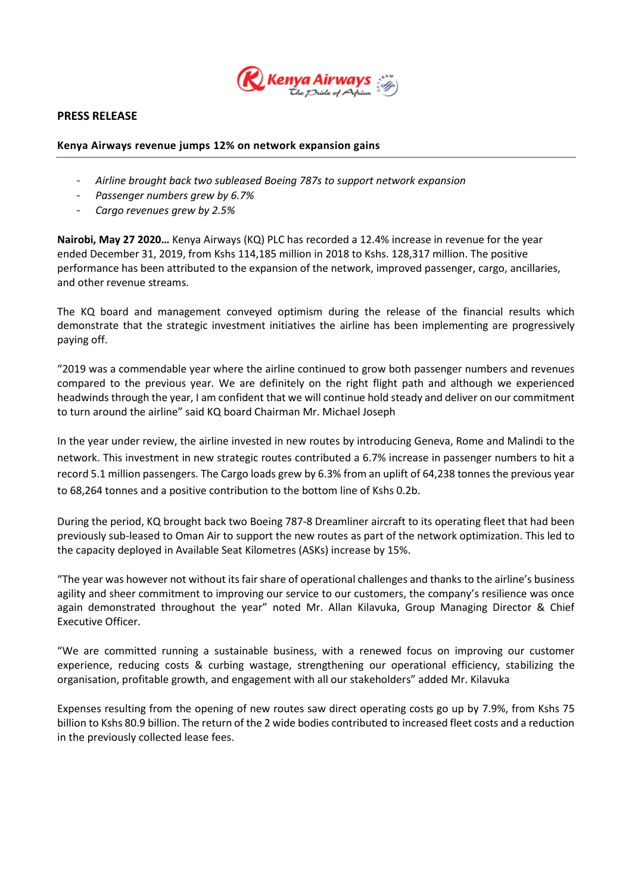

## **PRESS RELEASE**

## **Kenya Airways revenue jumps 12% on network expansion gains**

- *Airline brought back two subleased Boeing 787s to support network expansion*
- *Passenger numbers grew by 6.7%*
- *Cargo revenues grew by 2.5%*

**Nairobi, May 27 2020…** Kenya Airways (KQ) PLC has recorded a 12.4% increase in revenue for the year ended December 31, 2019, from Kshs 114,185 million in 2018 to Kshs. 128,317 million. The positive performance has been attributed to the expansion of the network, improved passenger, cargo, ancillaries, and other revenue streams.

The KQ board and management conveyed optimism during the release of the financial results which demonstrate that the strategic investment initiatives the airline has been implementing are progressively paying off.

"2019 was a commendable year where the airline continued to grow both passenger numbers and revenues compared to the previous year. We are definitely on the right flight path and although we experienced headwinds through the year, I am confident that we will continue hold steady and deliver on our commitment to turn around the airline" said KQ board Chairman Mr. Michael Joseph

In the year under review, the airline invested in new routes by introducing Geneva, Rome and Malindi to the network. This investment in new strategic routes contributed a 6.7% increase in passenger numbers to hit a record 5.1 million passengers. The Cargo loads grew by 6.3% from an uplift of 64,238 tonnes the previous year to 68,264 tonnes and a positive contribution to the bottom line of Kshs 0.2b.

During the period, KQ brought back two Boeing 787-8 Dreamliner aircraft to its operating fleet that had been previously sub-leased to Oman Air to support the new routes as part of the network optimization. This led to the capacity deployed in Available Seat Kilometres (ASKs) increase by 15%.

"The year was however not without its fair share of operational challenges and thanks to the airline's business agility and sheer commitment to improving our service to our customers, the company's resilience was once again demonstrated throughout the year" noted Mr. Allan Kilavuka, Group Managing Director & Chief Executive Officer.

"We are committed running a sustainable business, with a renewed focus on improving our customer experience, reducing costs & curbing wastage, strengthening our operational efficiency, stabilizing the organisation, profitable growth, and engagement with all our stakeholders" added Mr. Kilavuka

Expenses resulting from the opening of new routes saw direct operating costs go up by 7.9%, from Kshs 75 billion to Kshs 80.9 billion. The return of the 2 wide bodies contributed to increased fleet costs and a reduction in the previously collected lease fees.